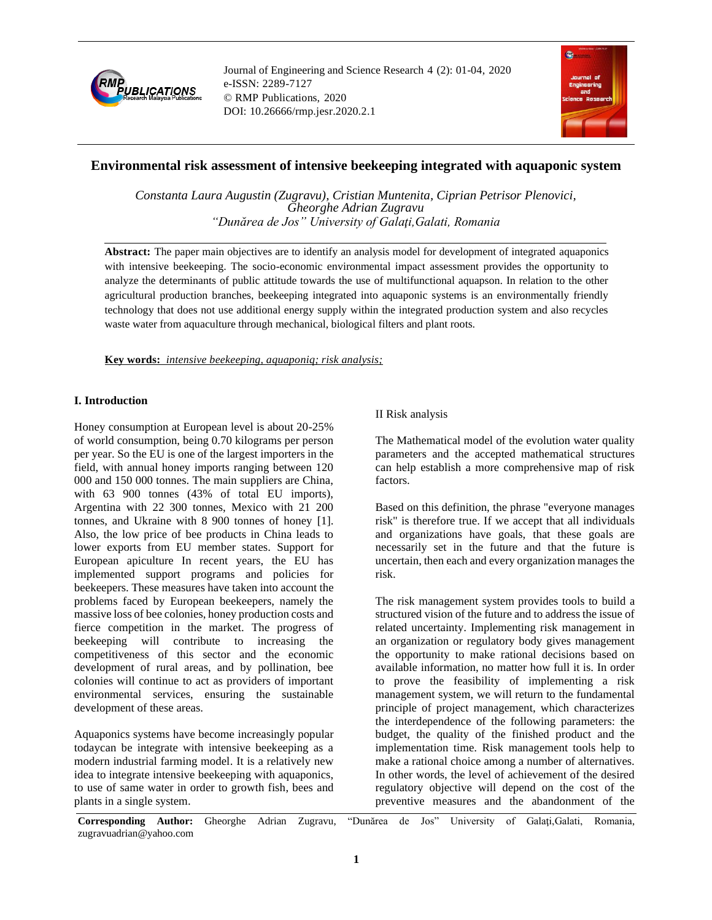

Journal of Engineering and Science Research 4 (2): 01-04, 2020 e-ISSN: 2289-7127 © RMP Publications, 2020 DOI: 10.26666/rmp.jesr.2020.2.1



# **Environmental risk assessment of intensive beekeeping integrated with aquaponic system**

*Constanta Laura Augustin (Zugravu), Cristian Muntenita, Ciprian Petrisor Plenovici, Gheorghe Adrian Zugravu "Dunărea de Jos" University of Galaţi,Galati, Romania*

**Abstract:** The paper main objectives are to identify an analysis model for development of integrated aquaponics with intensive beekeeping. The socio-economic environmental impact assessment provides the opportunity to analyze the determinants of public attitude towards the use of multifunctional aquapson. In relation to the other agricultural production branches, beekeeping integrated into aquaponic systems is an environmentally friendly technology that does not use additional energy supply within the integrated production system and also recycles waste water from aquaculture through mechanical, biological filters and plant roots.

**Key words:** *intensive beekeeping, aquaponiq; risk analysis;*

#### **I. Introduction**

Honey consumption at European level is about 20-25% of world consumption, being 0.70 kilograms per person per year. So the EU is one of the largest importers in the field, with annual honey imports ranging between 120 000 and 150 000 tonnes. The main suppliers are China, with 63 900 tonnes (43% of total EU imports), Argentina with 22 300 tonnes, Mexico with 21 200 tonnes, and Ukraine with 8 900 tonnes of honey [1]. Also, the low price of bee products in China leads to lower exports from EU member states. Support for European apiculture In recent years, the EU has implemented support programs and policies for beekeepers. These measures have taken into account the problems faced by European beekeepers, namely the massive loss of bee colonies, honey production costs and fierce competition in the market. The progress of beekeeping will contribute to increasing the competitiveness of this sector and the economic development of rural areas, and by pollination, bee colonies will continue to act as providers of important environmental services, ensuring the sustainable development of these areas.

Aquaponics systems have become increasingly popular todaycan be integrate with intensive beekeeping as a modern industrial farming model. It is a relatively new idea to integrate intensive beekeeping with aquaponics, to use of same water in order to growth fish, bees and plants in a single system.

## II Risk analysis

The Mathematical model of the evolution water quality parameters and the accepted mathematical structures can help establish a more comprehensive map of risk factors.

Based on this definition, the phrase "everyone manages risk" is therefore true. If we accept that all individuals and organizations have goals, that these goals are necessarily set in the future and that the future is uncertain, then each and every organization manages the risk.

The risk management system provides tools to build a structured vision of the future and to address the issue of related uncertainty. Implementing risk management in an organization or regulatory body gives management the opportunity to make rational decisions based on available information, no matter how full it is. In order to prove the feasibility of implementing a risk management system, we will return to the fundamental principle of project management, which characterizes the interdependence of the following parameters: the budget, the quality of the finished product and the implementation time. Risk management tools help to make a rational choice among a number of alternatives. In other words, the level of achievement of the desired regulatory objective will depend on the cost of the preventive measures and the abandonment of the

**Corresponding Author:** Gheorghe Adrian Zugravu, "Dunărea de Jos" University of Galaţi,Galati, Romania, zugravuadrian@yahoo.com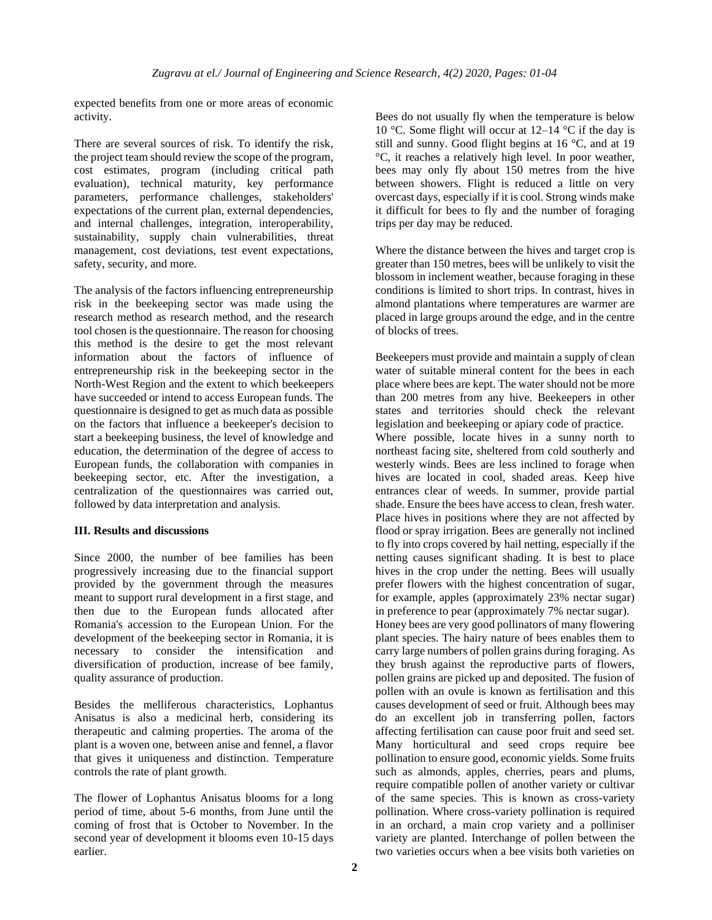expected benefits from one or more areas of economic activity.

There are several sources of risk. To identify the risk, the project team should review the scope of the program, cost estimates, program (including critical path evaluation), technical maturity, key performance parameters, performance challenges, stakeholders' expectations of the current plan, external dependencies, and internal challenges, integration, interoperability, sustainability, supply chain vulnerabilities, threat management, cost deviations, test event expectations, safety, security, and more.

The analysis of the factors influencing entrepreneurship risk in the beekeeping sector was made using the research method as research method, and the research tool chosen is the questionnaire. The reason for choosing this method is the desire to get the most relevant information about the factors of influence of entrepreneurship risk in the beekeeping sector in the North-West Region and the extent to which beekeepers have succeeded or intend to access European funds. The questionnaire is designed to get as much data as possible on the factors that influence a beekeeper's decision to start a beekeeping business, the level of knowledge and education, the determination of the degree of access to European funds, the collaboration with companies in beekeeping sector, etc. After the investigation, a centralization of the questionnaires was carried out, followed by data interpretation and analysis.

## **III. Results and discussions**

Since 2000, the number of bee families has been progressively increasing due to the financial support provided by the government through the measures meant to support rural development in a first stage, and then due to the European funds allocated after Romania's accession to the European Union. For the development of the beekeeping sector in Romania, it is necessary to consider the intensification and diversification of production, increase of bee family, quality assurance of production.

Besides the melliferous characteristics, Lophantus Anisatus is also a medicinal herb, considering its therapeutic and calming properties. The aroma of the plant is a woven one, between anise and fennel, a flavor that gives it uniqueness and distinction. Temperature controls the rate of plant growth.

The flower of Lophantus Anisatus blooms for a long period of time, about 5-6 months, from June until the coming of frost that is October to November. In the second year of development it blooms even 10-15 days earlier.

Bees do not usually fly when the temperature is below 10 °C. Some flight will occur at 12–14 °C if the day is still and sunny. Good flight begins at 16 °C, and at 19 °C, it reaches a relatively high level. In poor weather, bees may only fly about 150 metres from the hive between showers. Flight is reduced a little on very overcast days, especially if it is cool. Strong winds make it difficult for bees to fly and the number of foraging trips per day may be reduced.

Where the distance between the hives and target crop is greater than 150 metres, bees will be unlikely to visit the blossom in inclement weather, because foraging in these conditions is limited to short trips. In contrast, hives in almond plantations where temperatures are warmer are placed in large groups around the edge, and in the centre of blocks of trees.

Beekeepers must provide and maintain a supply of clean water of suitable mineral content for the bees in each place where bees are kept. The water should not be more than 200 metres from any hive. Beekeepers in other states and territories should check the relevant legislation and beekeeping or apiary code of practice. Where possible, locate hives in a sunny north to

northeast facing site, sheltered from cold southerly and westerly winds. Bees are less inclined to forage when hives are located in cool, shaded areas. Keep hive entrances clear of weeds. In summer, provide partial shade. Ensure the bees have access to clean, fresh water. Place hives in positions where they are not affected by flood or spray irrigation. Bees are generally not inclined to fly into crops covered by hail netting, especially if the netting causes significant shading. It is best to place hives in the crop under the netting. Bees will usually prefer flowers with the highest concentration of sugar, for example, apples (approximately 23% nectar sugar) in preference to pear (approximately 7% nectar sugar). Honey bees are very good pollinators of many flowering plant species. The hairy nature of bees enables them to carry large numbers of pollen grains during foraging. As they brush against the reproductive parts of flowers, pollen grains are picked up and deposited. The fusion of pollen with an ovule is known as fertilisation and this causes development of seed or fruit. Although bees may do an excellent job in transferring pollen, factors affecting fertilisation can cause poor fruit and seed set. Many horticultural and seed crops require bee pollination to ensure good, economic yields. Some fruits such as almonds, apples, cherries, pears and plums, require compatible pollen of another variety or cultivar of the same species. This is known as cross-variety pollination. Where cross-variety pollination is required in an orchard, a main crop variety and a polliniser variety are planted. Interchange of pollen between the two varieties occurs when a bee visits both varieties on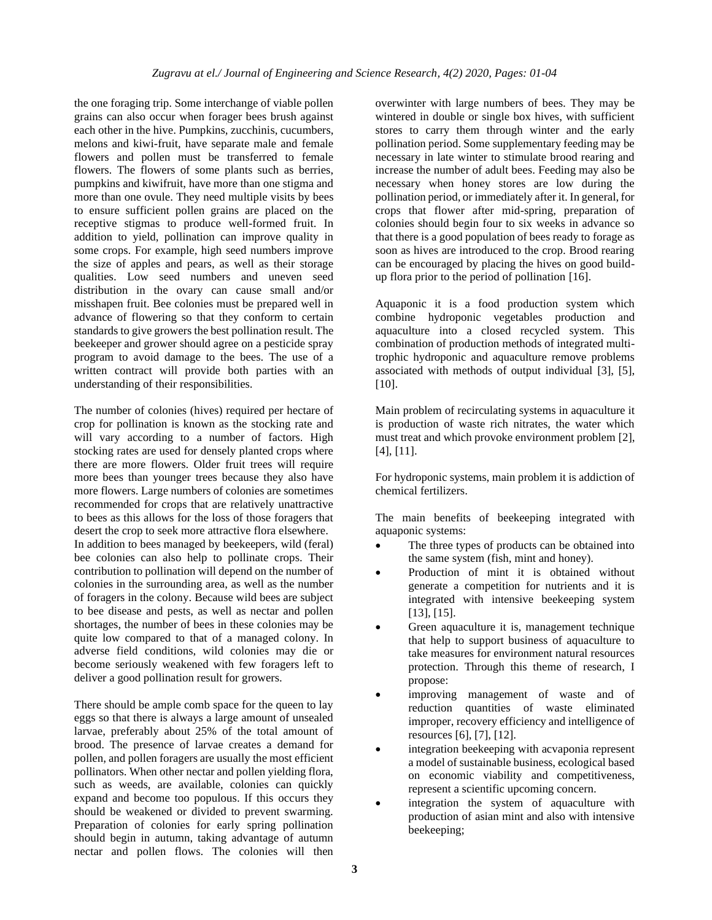the one foraging trip. Some interchange of viable pollen grains can also occur when forager bees brush against each other in the hive. Pumpkins, zucchinis, cucumbers, melons and kiwi-fruit, have separate male and female flowers and pollen must be transferred to female flowers. The flowers of some plants such as berries, pumpkins and kiwifruit, have more than one stigma and more than one ovule. They need multiple visits by bees to ensure sufficient pollen grains are placed on the receptive stigmas to produce well-formed fruit. In addition to yield, pollination can improve quality in some crops. For example, high seed numbers improve the size of apples and pears, as well as their storage qualities. Low seed numbers and uneven seed distribution in the ovary can cause small and/or misshapen fruit. Bee colonies must be prepared well in advance of flowering so that they conform to certain standards to give growers the best pollination result. The beekeeper and grower should agree on a pesticide spray program to avoid damage to the bees. The use of a written contract will provide both parties with an understanding of their responsibilities.

The number of colonies (hives) required per hectare of crop for pollination is known as the stocking rate and will vary according to a number of factors. High stocking rates are used for densely planted crops where there are more flowers. Older fruit trees will require more bees than younger trees because they also have more flowers. Large numbers of colonies are sometimes recommended for crops that are relatively unattractive to bees as this allows for the loss of those foragers that desert the crop to seek more attractive flora elsewhere. In addition to bees managed by beekeepers, wild (feral) bee colonies can also help to pollinate crops. Their contribution to pollination will depend on the number of colonies in the surrounding area, as well as the number of foragers in the colony. Because wild bees are subject to bee disease and pests, as well as nectar and pollen shortages, the number of bees in these colonies may be quite low compared to that of a managed colony. In adverse field conditions, wild colonies may die or become seriously weakened with few foragers left to deliver a good pollination result for growers.

There should be ample comb space for the queen to lay eggs so that there is always a large amount of unsealed larvae, preferably about 25% of the total amount of brood. The presence of larvae creates a demand for pollen, and pollen foragers are usually the most efficient pollinators. When other nectar and pollen yielding flora, such as weeds, are available, colonies can quickly expand and become too populous. If this occurs they should be weakened or divided to prevent swarming. Preparation of colonies for early spring pollination should begin in autumn, taking advantage of autumn nectar and pollen flows. The colonies will then

overwinter with large numbers of bees. They may be wintered in double or single box hives, with sufficient stores to carry them through winter and the early pollination period. Some supplementary feeding may be necessary in late winter to stimulate brood rearing and increase the number of adult bees. Feeding may also be necessary when honey stores are low during the pollination period, or immediately after it. In general, for crops that flower after mid-spring, preparation of colonies should begin four to six weeks in advance so that there is a good population of bees ready to forage as soon as hives are introduced to the crop. Brood rearing can be encouraged by placing the hives on good buildup flora prior to the period of pollination [16].

Aquaponic it is a food production system which combine hydroponic vegetables production and aquaculture into a closed recycled system. This combination of production methods of integrated multitrophic hydroponic and aquaculture remove problems associated with methods of output individual [3], [5], [10].

Main problem of recirculating systems in aquaculture it is production of waste rich nitrates, the water which must treat and which provoke environment problem [2], [4], [11].

For hydroponic systems, main problem it is addiction of chemical fertilizers.

The main benefits of beekeeping integrated with aquaponic systems:

- The three types of products can be obtained into the same system (fish, mint and honey).
- Production of mint it is obtained without generate a competition for nutrients and it is integrated with intensive beekeeping system [13], [15].
- Green aquaculture it is, management technique that help to support business of aquaculture to take measures for environment natural resources protection. Through this theme of research, I propose:
- improving management of waste and of reduction quantities of waste eliminated improper, recovery efficiency and intelligence of resources [6], [7], [12].
- integration beekeeping with acvaponia represent a model of sustainable business, ecological based on economic viability and competitiveness, represent a scientific upcoming concern.
- integration the system of aquaculture with production of asian mint and also with intensive beekeeping;